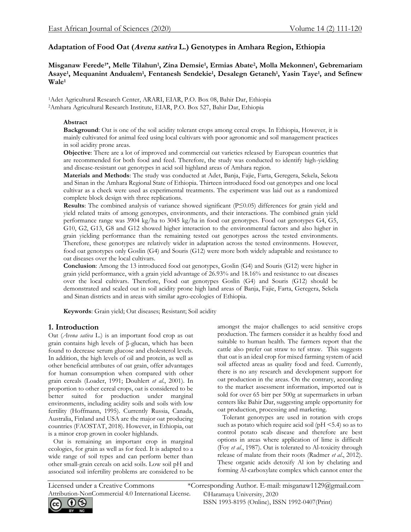# **Adaptation of Food Oat (Avena sativa L.) Genotypes in Amhara Region, Ethiopia**

# **Misganaw Ferede1\*, Melle Tilahun<sup>1</sup> , Zina Demsie<sup>1</sup> , Ermias Abate<sup>2</sup> , Molla Mekonnen<sup>1</sup> , Gebremariam Asaye<sup>1</sup> , Mequanint Andualem<sup>1</sup> , Fentanesh Sendekie<sup>1</sup> , Desalegn Getaneh<sup>1</sup> , Yasin Taye<sup>1</sup> , and Sefinew Wale<sup>1</sup>**

<sup>1</sup>Adet Agricultural Research Center, ARARI, EIAR, P.O. Box 08, Bahir Dar, Ethiopia <sup>2</sup>Amhara Agricultural Research Institute, EIAR, P.O. Box 527, Bahir Dar, Ethiopia

## **Abstract**

**Background**: Oat is one of the soil acidity tolerant crops among cereal crops. In Ethiopia, However, it is mainly cultivated for animal feed using local cultivars with poor agronomic and soil management practices in soil acidity prone areas.

**Objective**: There are a lot of improved and commercial oat varieties released by European countries that are recommended for both food and feed. Therefore, the study was conducted to identify high-yielding and disease-resistant oat genotypes in acid soil highland areas of Amhara region.

**Materials and Methods**: The study was conducted at Adet, Banja, Fajie, Farta, Geregera, Sekela, Sekota and Sinan in the Amhara Regional State of Ethiopia. Thirteen introduced food oat genotypes and one local cultivar as a check were used as experimental treatments. The experiment was laid out as a randomized complete block design with three replications.

**Results**: The combined analysis of variance showed significant (P≤0.05) differences for grain yield and yield related traits of among genotypes, environments, and their interactions. The combined grain yield performance range was 3904 kg/ha to 3045 kg/ha in food oat genotypes. Food oat genotypes G4, G5, G10, G2, G13, G8 and G12 showed higher interaction to the environmental factors and also higher in grain yielding performance than the remaining tested oat genotypes across the tested environments. Therefore, these genotypes are relatively wider in adaptation across the tested environments. However, food oat genotypes only Goslin (G4) and Souris (G12) were more both widely adaptable and resistance to oat diseases over the local cultivars.

**Conclusion**: Among the 13 introduced food oat genotypes, Goslin (G4) and Souris (G12) were higher in grain yield performance, with a grain yield advantage of 26.93% and 18.16% and resistance to oat diseases over the local cultivars. Therefore, Food oat genotypes Goslin (G4) and Souris (G12) should be demonstrated and scaled out in soil acidity prone high land areas of Banja, Fajie, Farta, Geregera, Sekela and Sinan districts and in areas with similar agro-ecologies of Ethiopia.

**Keywords**: Grain yield; Oat diseases; Resistant; Soil acidity

# **1. Introduction**

Oat (*Avena sativa* L.) is an important food crop as oat grain contains high levels of β-glucan, which has been found to decrease serum glucose and cholesterol levels. In addition, the high levels of oil and protein, as well as other beneficial attributes of oat grain, offer advantages for human consumption when compared with other grain cereals (Loader, 1991; Douhlert *et al*., 2001). In proportion to other cereal crops, oat is considered to be better suited for production under marginal environments, including acidity soils and soils with low fertility (Hoffmann, 1995). Currently Russia, Canada, Australia, Finland and USA are the major oat producing countries (FAOSTAT, 2018). However, in Ethiopia, oat is a minor crop grown in cooler highlands.

 Oat is remaining an important crop in marginal ecologies, for grain as well as for feed. It is adapted to a wide range of soil types and can perform better than other small-grain cereals on acid soils. Low soil pH and associated soil infertility problems are considered to be amongst the major challenges to acid sensitive crops production. The farmers consider it as healthy food and suitable to human health. The farmers report that the cattle also prefer oat straw to tef straw. This suggests that oat is an ideal crop for mixed farming system of acid soil affected areas as quality food and feed. Currently, there is no any research and development support for oat production in the areas. On the contrary, according to the market assessment information, imported oat is sold for over 65 birr per 500g at supermarkets in urban centers like Bahir Dar, suggesting ample opportunity for oat production, processing and marketing.

 Tolerant genotypes are used in rotation with crops such as potato which require acid soil (pH <5.4) so as to control potato scab disease and therefore are best options in areas where application of lime is difficult (Foy *et al*., 1987). Oat is tolerated to Al-toxicity through release of malate from their roots (Radmer *et al*., 2012). These organic acids detoxify Al ion by chelating and forming Al-carboxylate complex which cannot enter the

Attribution-NonCommercial 4.0 International License.

©Haramaya University, 2020 ISSN 1993-8195 (Online), ISSN 1992-0407(Print) Licensed under a Creative Commons \*Corresponding Author. E-mail: [misganaw1129@gmail.com](mailto:misganaw1129@gmail.com)

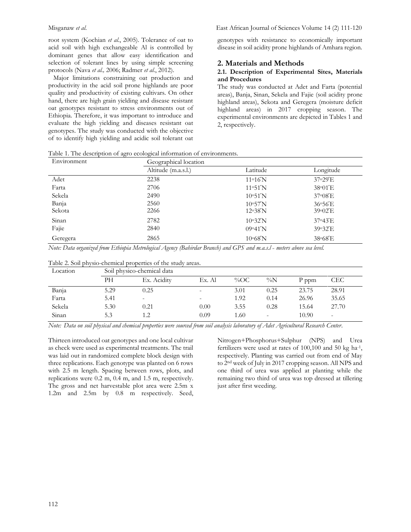root system (Kochian *et al*., 2005). Tolerance of oat to acid soil with high exchangeable Al is controlled by dominant genes that allow easy identification and selection of tolerant lines by using simple screening protocols (Nava *et al.,* 2006; Radmer *et al*., 2012).

 Major limitations constraining oat production and productivity in the acid soil prone highlands are poor quality and productivity of existing cultivars. On other hand, there are high grain yielding and disease resistant oat genotypes resistant to stress environments out of Ethiopia. Therefore, it was important to introduce and evaluate the high yielding and diseases resistant oat genotypes. The study was conducted with the objective of to identify high yielding and acidic soil tolerant oat genotypes with resistance to economically important disease in soil acidity prone highlands of Amhara region.

### **2. Materials and Methods**

#### **2.1. Description of Experimental Sites, Materials and Procedures**

The study was conducted at Adet and Farta (potential areas), Banja, Sinan, Sekela and Fajie (soil acidity prone highland areas), Sekota and Geregera (moisture deficit highland areas) in 2017 cropping season. The experimental environments are depicted in Tables 1 and 2, respectively.

Table 1. The description of agro ecological information of environments.

| Environment | Geographical location |                   |                                   |  |  |  |
|-------------|-----------------------|-------------------|-----------------------------------|--|--|--|
|             | Altitude (m.a.s.l.)   | Latitude          | Longitude                         |  |  |  |
| Adet        | 2238                  | $11^{\circ}16'$ N | 37°29'E                           |  |  |  |
| Farta       | 2706                  | 11°51'N           | $38^{\circ}01'E$                  |  |  |  |
| Sekela      | 2490                  | 10°51'N           | $37\textdegree 08$ <sup>E</sup>   |  |  |  |
| Banja       | 2560                  | 10°57'N           | 36°56'E                           |  |  |  |
| Sekota      | 2266                  | 12°38'N           | $39\textdegree 02'E$              |  |  |  |
| Sinan       | 2782                  | 10°32'N           | 37 <sup>o</sup> 43 <sup>'</sup> E |  |  |  |
| Fajie       | 2840                  | 09°41'N           | 39°32'E                           |  |  |  |
| Geregera    | 2865                  | $10^{\circ}68'$ N | 38°68'E                           |  |  |  |

*Note: Data organized from Ethiopia Metrological Agency (Bahirdar Branch) and GPS and m.a.s.l ₌ meters above sea level.*

| Table 2. Soil physio-chemical properties of the study areas. |  |
|--------------------------------------------------------------|--|
|--------------------------------------------------------------|--|

| Location | Soil physico-chemical data |             |        |        |       |       |                          |
|----------|----------------------------|-------------|--------|--------|-------|-------|--------------------------|
|          | PН                         | Ex. Acidity | Ex. Al | $\%OC$ | $\%N$ | P ppm | <b>CEC</b>               |
| Banja    | 5.29                       | 0.25        | ۰      | 3.01   | 0.25  | 23.75 | 28.91                    |
| Farta    | 5.41                       |             |        | 1.92   | 0.14  | 26.96 | 35.65                    |
| Sekela   | 5.30                       | 0.21        | 0.00   | 3.55   | 0.28  | 15.64 | 27.70                    |
| Sinan    | 5.3                        |             | 0.09   | l.60   |       | 10.90 | $\overline{\phantom{a}}$ |

*Note: Data on soil physical and chemical properties were sourced from soil analysis laboratory of Adet Agricultural Research Center.*

Thirteen introduced oat genotypes and one local cultivar as check were used as experimental treatments. The trail was laid out in randomized complete block design with three replications. Each genotype was planted on 6 rows with 2.5 m length. Spacing between rows, plots, and replications were 0.2 m, 0.4 m, and 1.5 m, respectively. The gross and net harvestable plot area were 2.5m x 1.2m and 2.5m by 0.8 m respectively. Seed,

Nitrogen+Phosphorus+Sulphur (NPS) and Urea fertilizers were used at rates of 100,100 and 50 kg ha<sup>-1</sup>, respectively. Planting was carried out from end of May to 2nd week of July in 2017 cropping season. All NPS and one third of urea was applied at planting while the remaining two third of urea was top dressed at tillering just after first weeding.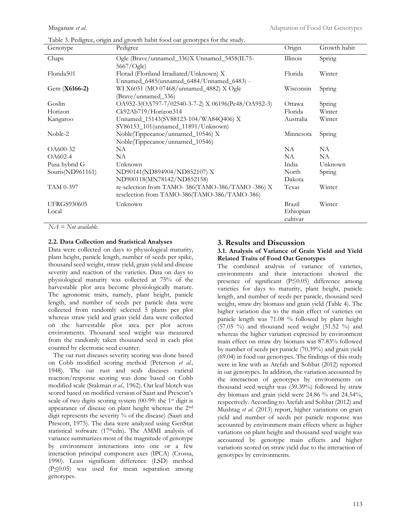|                             | Table 3. Pedigree, origin and growth habit food oat genotypes for the study.                     |                                 |              |
|-----------------------------|--------------------------------------------------------------------------------------------------|---------------------------------|--------------|
| Genotype                    | Pedigree                                                                                         | Origin                          | Growth habit |
| Chaps                       | Ogle (Brave/unnamed_336)X Unnamed_5458(IL75-<br>$5667/O$ gle)                                    | Illinois                        | Spring       |
| Florida501                  | Florad (Floriland Irradiated/Unknown) X<br>Unnamed_6485(unnamed_6484/Unnamed_6483) -             | Florida                         | Winter       |
| Gem (X6166-2)               | WI X6051 (MO 07468/unnamed_4882) X Ogle<br>(Brave/unnamed_336)                                   | Wisconsin                       | Spring       |
| Goslin                      | OA952-3(OA797-7/02540-3-7-2) X 06196(Pc48/OA952-3)                                               | Ottawa                          | Spring       |
| Horizon                     | Ck92Ab719/Horizon314                                                                             | Florida                         | Winter       |
| Kangaroo                    | Unnamed_15143(SV88123-104/WA84Q406) X<br>SV86153_101(unnamed_11891/Unknown)                      | Australia                       | Winter       |
| Noble-2                     | Noble(Tippecanoe/unnamed_10546) X<br>Noble(Tippecanoe/unnamed_10546)                             | Minnesota                       | Spring       |
| OA600-32                    | NA.                                                                                              | NA.                             | NA.          |
| OA602-4                     | NA                                                                                               | NA                              | NA.          |
| Pusa hybrid G               | Unknown                                                                                          | India                           | Unknown      |
| Souris(ND961161)            | ND90141(ND894904/ND852107) X<br>ND900118(MN78142/ND852158)                                       | North<br>Dakota                 | Spring       |
| TAM 0-397                   | re-selection from TAMO-386(TAMO-386/TAMO -386) X<br>reselection from TAMO-386(TAMO-386/TAMO-386) | Texas                           | Winter       |
| <b>UFRGS930605</b><br>Local | Unknown                                                                                          | Brazil<br>Ethiopian<br>cultivar | Winter       |

*NA = Not available.*

#### **2.2. Data Collection and Statistical Analyses**

Data were collected on days to physiological maturity, plant height, panicle length, number of seeds per spike, thousand seed weight, straw yield, grain yield and disease severity and reaction of the varieties. Data on days to physiological maturity was collected at 75% of the harvestable plot area become physiologically mature. The agronomic traits, namely, plant height, panicle length, and number of seeds per panicle data were collected from randomly selected 5 plants per plot whereas straw yield and grain yield data were collected on the harvestable plot area per plot across environments. Thousand seed weight was measured from the randomly taken thousand seed in each plot counted by electronic seed counter.

 The oat rust diseases severity scoring was done based on Cobb modified scoring method (Peterson *et al.,* 1948). The oat rust and scab diseases varietal reaction/response scoring was done based on Cobb modified scale (Stakman *et al.,* 1962). Oat leaf blotch was scored based on modified version of Saari and Prescott's scale of two digits scoring system (00-99: the 1st digit is appearance of disease on plant height whereas the 2nd digit represents the severity % of the disease) (Saari and Prescott, 1975). The data were analyzed using GenStat statistical software (17thedn). The AMMI analysis of variance summarizes most of the magnitude of genotype by environment interactions into one or a few interaction principal component axes (IPCA) (Crossa, 1990). Least significant difference (LSD) method  $(P \le 0.05)$  was used for mean separation among genotypes.

#### **3. Results and Discussion 3.1. Analysis of Variance of Grain Yield and Yield Related Traits of Food Oat Genotypes**

The combined analysis of variance of varieties, environments and their interactions showed the presence of significant (P≤0.05) difference among varieties for days to maturity, plant height, panicle length, and number of seeds per panicle, thousand seed weight, straw dry biomass and grain yield (Table 4). The higher variation due to the main effect of varieties on panicle length was 71.08 % followed by plant height  $(57.05 \%)$  and thousand seed weight  $(51.52 \%)$  and whereas the higher variation expressed by environment main effect on straw dry biomass was 87.83% followed by number of seeds per panicle (70.39%) and grain yield (69.04) in food oat genotypes. The findings of this study were in line with as Atefah and Sohbat (2012) reported in oat genotypes. In addition, the variation accounted by the interaction of genotypes by environments on thousand seed weight was (39.39%) followed by straw dry biomass and grain yield were 24.86 % and 24.54%, respectively. According to Atefah and Sohbat (2012) and Mushtag *et al.* (2013) report, higher variations on grain yield and number of seeds per panicle response was accounted by environment main effects where as higher variations on plant height and thousand seed weight was accounted by genotype main effects and higher variations scored on straw yield due to the interaction of genotypes by environments.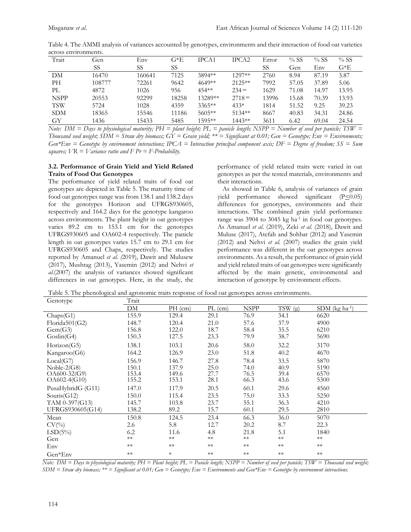| Gen    | Env    | G*E   | IPCA1    | IPCA <sub>2</sub> | Error | $%$ SS | $%$ SS | %SS    |
|--------|--------|-------|----------|-------------------|-------|--------|--------|--------|
| SS     | SS     | SS    |          |                   | SS    | Gen    | Env    | $G^*E$ |
| 16470  | 160641 | 7125  | 3894**   | 1297**            | 2760  | 8.94   | 87.19  | 3.87   |
| 108777 | 72261  | 9642  | $4649**$ | $2125**$          | 7992  | 57.05  | 37.89  | 5.06   |
| 4872   | 1026   | 956   | 454**    | $234$ ns          | 1629  | 71.08  | 14.97  | 13.95  |
| 20553  | 92299  | 18258 | 13289**  | $2718$ ns         | 13996 | 15.68  | 70.39  | 13.93  |
| 5724   | 1028   | 4359  | $3365**$ | $433*$            | 1814  | 51.52  | 9.25   | 39.23  |
| 18365  | 15546  | 11186 | $5605**$ | $51.34**$         | 8667  | 40.83  | 34.31  | 24.86  |
| 1436   | 15433  | 5485  | 1595**   | $144.3**$         | 3611  | 6.42   | 69.04  | 24.54  |
|        |        |       |          |                   |       |        |        |        |

Table 4. The AMMI analysis of variances accounted by genotypes, environments and their interaction of food oat varieties across environments.

*Note: DM = Days to physiological maturity; PH = plant height; PL = panicle length; NSPP = Number of seed per panicle; TSW = Thousand seed weight; SDM = Straw dry biomass; GY = Grain yield; \*\* = Significant at 0.01; Gen = Genotype; Env = Environments; Gen\*Env = Genotype by environment interactions; IPCA = Interaction principal component axis; DF = Degree of freedom; SS = Sum squares; VR = Variance ratio and F Pr = F-Probability.*

### **3.2. Performance of Grain Yield and Yield Related Traits of Food Oat Genotypes**

The performance of yield related traits of food oat genotypes are depicted in Table 5. The maturity time of food oat genotypes range was from 138.1 and 138.2 days for the genotypes Horizon and UFRGS930605, respectively and 164.2 days for the genotype kangaroo across environments. The plant height in oat genotypes varies 89.2 cm to 153.1 cm for the genotypes UFRGS930605 and OA602-4 respectively. The panicle length in oat genotypes varies 15.7 cm to 29.1 cm for UFRGS930605 and Chaps, respectively. The studies reported by Amanuel *et al. (*2019), Dawit and Mulusew (2017), Mushtag (2013), Yasemin (2012) and Nehvi *et al*.(2007) the analysis of variances showed significant differences in oat genotypes. Here, in the study, the

performance of yield related traits were varied in oat genotypes as per the tested materials, environments and their interactions.

 As showed in Table 6, analysis of variances of grain yield performance showed significant  $(P \le 0.05)$ differences for genotypes, environments and their interactions. The combined grain yield performance range was 3904 to 3045 kg ha<sup>-1</sup> in food oat genotypes. As Amanuel *et al.* (2019), Zeki *et al*. (2018), Dawit and Muluse (2017), Atefah and Sohbat (2012) and Yasemin (2012) and Nehvi *et al.* (2007) studies the grain yield performance was different in the oat genotypes across environments. As a result, the performance of grain yield and yield related traits of oat genotypes were significantly affected by the main genetic, environmental and interaction of genotype by environment effects.

| Table 5. The phenological and agronomic traits response of food oat genotypes across environments. |  |  |
|----------------------------------------------------------------------------------------------------|--|--|

| Genotype          | Trait |            |           |             |        |                              |
|-------------------|-------|------------|-----------|-------------|--------|------------------------------|
|                   | DМ    | $PH$ (cm)  | $PL$ (cm) | <b>NSPP</b> | TSW(g) | $SDM$ (kg ha <sup>-1</sup> ) |
| Chaps(G1)         | 155.9 | 129.4      | 29.1      | 76.9        | 34.1   | 6620                         |
| Florida501(G2)    | 148.7 | 120.4      | 21.0      | 57.6        | 37.9   | 4900                         |
| Gem(G3)           | 156.8 | 122.0      | 18.7      | 58.4        | 35.5   | 6210                         |
| Goslin(G4)        | 150.3 | 127.5      | 23.3      | 79.9        | 38.7   | 5690                         |
| Horizon(G5)       | 138.1 | 103.1      | 20.6      | 58.0        | 32.2   | 3170                         |
| Kangaroo(G6)      | 164.2 | 126.9      | 23.0      | 51.8        | 40.2   | 4670                         |
| Local(G7)         | 156.9 | 146.7      | 27.8      | 78.4        | 33.5   | 5870                         |
| Noble- $2(G8)$    | 150.1 | 137.9      | 25.0      | 74.0        | 40.9   | 5190                         |
| $OA600-32(G9)$    | 153.4 | 149.6      | 27.7      | 76.5        | 39.4   | 6570                         |
| $OA602-4(G10)$    | 155.2 | 153.1      | 28.1      | 66.3        | 43.6   | 5300                         |
| PusaHybridG (G11) | 147.0 | 117.9      | 20.5      | 60.1        | 29.6   | 4560                         |
| Souris $(G12)$    | 150.0 | 115.4      | 23.5      | 75.0        | 33.3   | 5250                         |
| TAM 0-397(G13)    | 145.7 | 103.8      | 23.7      | 55.1        | 36.3   | 4210                         |
| UFRGS930605(G14)  | 138.2 | 89.2       | 15.7      | 60.1        | 29.5   | 2810                         |
| Mean              | 150.8 | 124.5      | 23.4      | 66.3        | 36.0   | 5070                         |
| $CV(\%)$          | 2.6   | 5.8        | 12.7      | 20.2        | 8.7    | 22.3                         |
| $LSD(5\%)$        | 6.2   | 11.6       | 4.8       | 21.8        | 5.1    | 1840                         |
| Gen               | $**$  | $\ast\ast$ | $**$      | $\ast\ast$  | $**$   | $\ast\ast$                   |
| Env               | $**$  | $**$       | $**$      | $**$        | $**$   | $\ast\ast$                   |
| Gen*Env           | $**$  | $\ast$     | $**$      | $**$        | $**$   | $**$                         |

*Note: DM = Days to physiological maturity; PH = Plant height; PL = Panicle length; NSPP = Number of seed per panicle; TSW = Thousand seed weight; SDM = Straw dry biomass; \*\* = Significant at 0.01; Gen = Genotype; Env = Environments and Gen\*Env = Genotype by environment interactions.*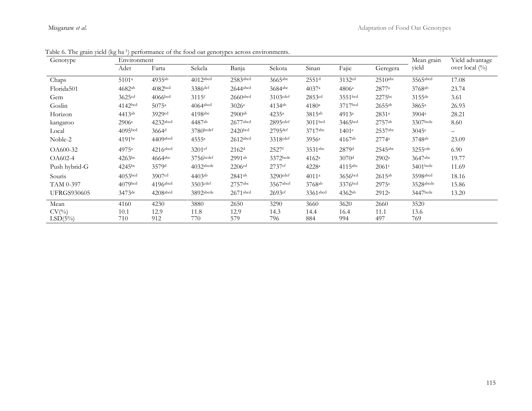| $\mu$<br>Genotype  | Environment         | performance of the food out genotypes across environments. | Mean grain                       | Yield advantage      |                |                    |                    |                     |                   |                   |
|--------------------|---------------------|------------------------------------------------------------|----------------------------------|----------------------|----------------|--------------------|--------------------|---------------------|-------------------|-------------------|
|                    | Adet                | Farta                                                      | Sekela                           | Banja                | Sekota         | Sinan              | Fajie              | Geregera            | yield             | over local (%)    |
| Chaps              | 5101 <sup>a</sup>   | 4935ab                                                     | 4012abcd                         | 2583abcd             | 3665abc        | 2551 <sup>d</sup>  | 3132cd             | $2510$ abc          | 3565abcd          | 17.08             |
| Florida501         | 4682ab              | 4082 <sub>bcd</sub>                                        | 3386def                          | 2644abcd             | $3684$ abc     | 4037a              | 4806a              | 2877a               | 3768ab            | 23.74             |
| Gem                | 3625 <sup>cd</sup>  | $4066$ <sub>bcd</sub>                                      | $3115$ <sup><math>f</math></sup> | $2660$ abcd          | $3103$ cdef    | 2853cd             | 3551bcd            | 2275 <sup>bc</sup>  | 3155de            | 3.61              |
| Goslin             | 4142bcd             | $5075^{\circ}$                                             | $4064$ <sub>abcd</sub>           | 3026a                | $4134^{ab}$    | 4180a              | 3717bcd            | $2655^{ab}$         | $3865^{\circ}$    | 26.93             |
| Horizon            | $4413^{ab}$         | 3929cd                                                     | $4198$ abc                       | $2900$ <sup>ab</sup> | $4235^{\circ}$ | 3815 <sup>ab</sup> | $4913^a$           | 2831 <sup>a</sup>   | 3904 <sup>a</sup> | 28.21             |
| kangaroo           | 2906e               | 4232abcd                                                   | 4487ab                           | $2677$ abcd          | $2895$ cdef    | $3011$ bcd         | 3465bcd            | 2757ab              | 3307bcde          | 8.60              |
| Local              | 4095 <sup>bcd</sup> | $3664$ <sup>d</sup>                                        | $3780$ bcdef                     | 2420 <sub>bcd</sub>  | $2795$ def     | 3717abc            | 1401 <sup>e</sup>  | 2537abc             | 3045e             | $\qquad \qquad -$ |
| Noble-2            | 4191 <sup>bc</sup>  | 4409abcd                                                   | 4555a                            | $2612$ abcd          | 3318cdef       | 3956 <sup>a</sup>  | 4167 <sup>ab</sup> | 2774a               | 3748ab            | 23.09             |
| OA600-32           | 4975 <sup>a</sup>   | 4216abcd                                                   | 3201 <sup>ef</sup>               | 2162 <sup>d</sup>    | 2527f          | 3531abc            | 2879d              | 2545abc             | 3255cde           | 6.90              |
| OA602-4            | 4263 <sup>bc</sup>  | $4664$ <sub>abc</sub>                                      | 3756bcdef                        | $2991$ <sup>ab</sup> | 3372bcde       | $4162^{\rm a}$     | 3070 <sup>d</sup>  | $2902^{\mathrm{a}}$ | 3647abc           | 19.77             |
| Push hybrid-G      | 4245 <sup>bc</sup>  | 3579 <sup>d</sup>                                          | $4032$ abcde                     | 2206 <sup>cd</sup>   | 2737ef         | 4228 <sup>a</sup>  | $4115$ abc         | 2061c               | 3401bcde          | 11.69             |
| Souris             | 4053 <sub>bcd</sub> | 3907 <sup>cd</sup>                                         | $4403$ <sup>ab</sup>             | 2841 <sup>ab</sup>   | 3290cdef       | $4011^a$           | 3656bcd            | $2615^{ab}$         | 3598abcd          | 18.16             |
| TAM 0-397          | 4079bcd             | $4196$ abcd                                                | 3503cdef                         | 2757abc              | 3567abcd       | 3768ab             | 3376bcd            | 2975a               | 3528abcde         | 15.86             |
| <b>UFRGS930605</b> | 3473de              | 4208abcd                                                   | 3892abcde                        | $2671$ abcd          | 2693ef         | 3361abcd           | 4362ab             | 2912a               | 3447bcde          | 13.20             |
| Mean               | 4160                | 4230                                                       | 3880                             | 2650                 | 3290           | 3660               | 3620               | 2660                | 3520              |                   |
| $CV(\%)$           | 10.1                | 12.9                                                       | 11.8                             | 12.9                 | 14.3           | 14.4               | 16.4               | 11.1                | 13.6              |                   |
| $LSD(5\%)$         | 710                 | 912                                                        | 770                              | 579                  | 796            | 884                | 994                | 497                 | 769               |                   |

Table 6. The grain yield (kg ha-1 ) performance of the food oat genotypes across environments.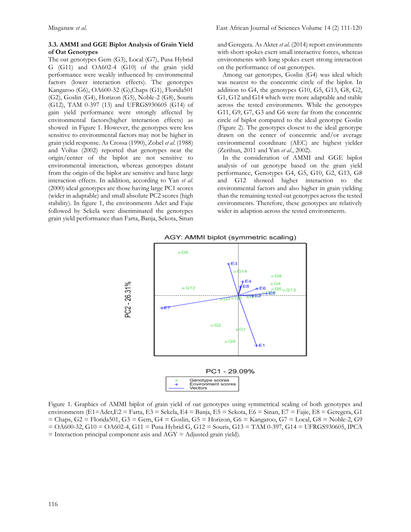#### **3.3. AMMI and GGE Biplot Analysis of Grain Yield of Oat Genotypes**

The oat genotypes Gem (G3), Local (G7), Pusa Hybrid G (G11) and OA602-4 (G10) of the grain yield performance were weakly influenced by environmental factors (lower interaction effects). The genotypes Kangaroo (G6), OA600-32 (G),Chaps (G1), Florida501  $(G2)$ , Goslin  $(G4)$ , Horizon  $(G5)$ , Noble-2  $(G8)$ , Souris (G12), TAM 0-397 (13) and UFRGS930605 (G14) of gain yield performance were strongly affected by environmental factors(higher interaction effects) as showed in Figure 1. However, the genotypes were less sensitive to environmental factors may not be higher in grain yield response. As Crossa (1990), Zobel *et al.* (1988) and Voltas (2002) reported that genotypes near the origin/center of the biplot are not sensitive to environmental interaction, whereas genotypes distant from the origin of the biplot are sensitive and have large interaction effects. In addition, according to Yan *et al*. (2000) ideal genotypes are those having large PC1 scores (wider in adaptable) and small absolute PC2 scores (high stability). In figure 1, the environments Adet and Fajie followed by Sekela were discriminated the genotypes grain yield performance than Farta, Banja, Sekota, Sinan and Geregera. As Akter *et al*. (2014) report environments with short spokes exert small interactive forces, whereas environments with long spokes exert strong interaction on the performance of oat genotypes.

 Among oat genotypes, Goslin (G4) was ideal which was nearest to the concentric circle of the biplot. In addition to G4, the genotypes G10, G5, G13, G8, G2, G1, G12 and G14 which were more adaptable and stable across the tested environments. While the genotypes G11, G9, G7, G3 and G6 were far from the concentric circle of biplot compared to the ideal genotype Goslin (Figure 2). The genotypes closest to the ideal genotype drawn on the center of concentric and/or average environmental coordinate (AEC) are highest yielder (Zerihun, 2011 and Yan *et al*., 2002).

 In the consideration of AMMI and GGE biplot analysis of oat genotype based on the grain yield performance, Genotypes G4, G5, G10, G2, G13, G8 and G12 showed higher interaction to the environmental factors and also higher in grain yielding than the remaining tested oat genotypes across the tested environments. Therefore, these genotypes are relatively wider in adaption across the tested environments.



Figure 1. Graphics of AMMI biplot of grain yield of oat genotypes using symmetrical scaling of both genotypes and environments (E1=Adet,E2 = Farta, E3 = Sekela, E4 = Banja, E5 = Sekota, E6 = Sinan, E7 = Fajie, E8 = Geregera, G1  $=$  Chaps, G2 = Florida501, G3 = Gem, G4 = Goslin, G5 = Horizon, G6 = Kangaroo, G7 = Local, G8 = Noble-2, G9 = OA600-32, G10 = OA602-4, G11 = Pusa Hybrid G, G12 = Souris, G13 = TAM 0-397, G14 = UFRGS930605, IPCA  $=$  Interaction principal component axis and AGY  $=$  Adjusted grain yield).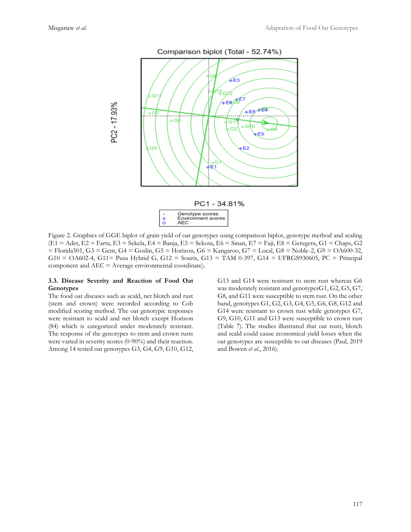

Figure 2. Graphics of GGE biplot of grain yield of oat genotypes using comparison biplot, genotype method and scaling (E1 = Adet, E2 = Farta, E3 = Sekela, E4 = Banja, E5 = Sekota, E6 = Sinan, E7 = Faji, E8 = Geregera, G1 = Chaps, G2 = Florida501, G3 = Gem, G4 = Goslin, G5 = Horizon, G6 = Kangaroo, G7 = Local, G8 = Noble-2, G9 = OA600-32, G10 = OA602-4, G11= Pusa Hybrid G, G12 = Souris, G13 = TAM 0-397, G14 = UFRGS930605, PC = Principal component and AEC = Average environmental coordinate).

#### **3.3. Disease Severity and Reaction of Food Oat Genotypes**

The food oat diseases such as scald, net blotch and rust (stem and crown) were recorded according to Cob modified scoring method. The oat genotypic responses were resistant to scald and net blotch except Horizon (84) which is categorized under moderately resistant. The response of the genotypes to stem and crown rusts were varied in severity scores (0-90%) and their reaction. Among 14 tested oat genotypes G3, G4, G9, G10, G12, G13 and G14 were resistant to stem rust whereas G6 was moderately resistant and genotypesG1, G2, G5, G7, G8, and G11 were susceptible to stem rust. On the other hand, genotypes G1, G2, G3, G4, G5, G6, G8, G12 and G14 were resistant to crown rust while genotypes G7, G9, G10, G11 and G13 were susceptible to crown rust (Table 7). The studies illustrated that oat rusts, blotch and scald could cause economical yield losses when the oat genotypes are susceptible to oat diseases (Paul, 2019 and Bowen *et al*., 2016).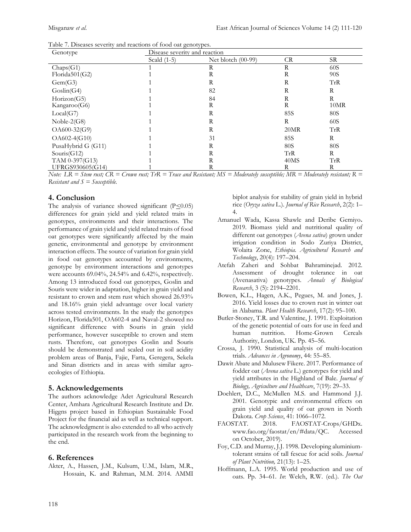|  | Table 7. Diseases severity and reactions of food oat genotypes. |
|--|-----------------------------------------------------------------|
|--|-----------------------------------------------------------------|

| Genotype           | Disease severity and reaction |                      |            |      |  |  |  |  |  |
|--------------------|-------------------------------|----------------------|------------|------|--|--|--|--|--|
|                    | Scald $(1-5)$                 | Net blotch $(00-99)$ | <b>CR</b>  | SR   |  |  |  |  |  |
| Chaps(G1)          |                               | R                    | R          | 60S  |  |  |  |  |  |
| Florida501(G2)     |                               | R                    | R          | 90S  |  |  |  |  |  |
| Gem(G3)            |                               | R                    | R          | TrR  |  |  |  |  |  |
| Goslin(G4)         |                               | 82                   | R          | R    |  |  |  |  |  |
| Horizon(G5)        |                               | 84                   | R          | R    |  |  |  |  |  |
| Kangaroo(G6)       |                               | R                    | R          | 10MR |  |  |  |  |  |
| Local(G7)          |                               | R                    | <b>85S</b> | 80S  |  |  |  |  |  |
| Noble- $2(G8)$     |                               | R                    | R          | 60S  |  |  |  |  |  |
| OA600-32(G9)       |                               | R                    | 20MR       | TrR  |  |  |  |  |  |
| OA602-4(G10)       |                               | 31                   | <b>85S</b> | R    |  |  |  |  |  |
| PusaHybrid G (G11) |                               | R                    | 80S        | 80S  |  |  |  |  |  |
| Souris $(G12)$     |                               | R                    | TrR        | R    |  |  |  |  |  |
| TAM 0-397(G13)     |                               | R                    | 40MS       | TrR  |  |  |  |  |  |
| UFRGS930605(G14)   |                               | R                    | R          | R    |  |  |  |  |  |

*Note: LR = Stem rust; CR = Crown rust; TrR = Trace and Resistant; MS = Moderately susceptible; MR = Moderately resistant; R = Resistant and S = Susceptible.*

# **4. Conclusion**

The analysis of variance showed significant  $(P \le 0.05)$ differences for grain yield and yield related traits in genotypes, environments and their interactions. The performance of grain yield and yield related traits of food oat genotypes were significantly affected by the main genetic, environmental and genotype by environment interaction effects. The source of variation for grain yield in food oat genotypes accounted by environments, genotype by environment interactions and genotypes were accounts 69.04%, 24.54% and 6.42%, respectively. Among 13 introduced food oat genotypes, Goslin and Souris were wider in adaptation, higher in grain yield and resistant to crown and stem rust which showed 26.93% and 18.16% grain yield advantage over local variety across tested environments. In the study the genotypes Horizon, Florida501, OA602-4 and Naval-2 showed no significant difference with Souris in grain yield performance, however susceptible to crown and stem rusts. Therefore, oat genotypes Goslin and Souris should be demonstrated and scaled out in soil acidity problem areas of Banja, Fajie, Farta, Geregera, Sekela and Sinan districts and in areas with similar agroecologies of Ethiopia.

# **5. Acknowledgements**

The authors acknowledge Adet Agricultural Research Center, Amhara Agricultural Research Institute and Dr. Higgns project based in Ethiopian Sustainable Food Project for the financial aid as well as technical support. The acknowledgment is also extended to all who actively participated in the research work from the beginning to the end.

# **6. References**

Akter, A., Hassen, J.M., Kulsum, U.M., Islam, M.R., Hossain, K. and Rahman, M.M. 2014. AMMI biplot analysis for stability of grain yield in hybrid rice (*Oryza sativa* L.). *Journal of Rice Research*, 2(2): 1– 4.

- Amanuel Wada, Kassa Shawle and Deribe Gemiyo**.** 2019. Biomass yield and nutritional quality of different oat genotypes (*Avena sativa*) grown under irrigation condition in Sodo Zuriya District, Wolaita Zone, *Ethiopia. Agricultural Research and Technology*, 20(4): 197–204.
- Atefah Zaheri and Sohbat Bahraminejad. 2012. Assessment of drought tolerance in oat (Avenasativa) genotypes. *Annals of Biological Research*, 3 (5): 2194–2201.
- Bowen, K.L., Hagen, A.K., Pegues, M. and Jones, J. 2016. Yield losses due to crown rust in winter oat in Alabama. *Plant Health Research*, 17(2): 95–100.
- Butler-Stoney, T.R. and Valentine, J. 1991. Exploitation of the genetic potential of oats for use in feed and human nutrition. Home-Grown Cereals Authority, London, UK. Pp. 45–56.
- Crossa, J. 1990. Statistical analysis of multi-location trials. *Advances in Agronomy*, 44: 55–85.
- Dawit Abate and Mulusew Fikere. 2017. Performance of fodder oat (*Avena sativa* L.) genotypes for yield and yield attributes in the Highland of Bale. *Journal of Biology, Agriculture and Healthcare*, 7(19): 29–33.
- Doehlert, D.C., McMullen M.S. and Hammond J.J. 2001. Genotypic and environmental effects on grain yield and quality of oat grown in North Dakota. *Crop Science*, 41: 1066–1072.
- FAOSTAT. 2018. FAOSTAT-Crops/GHDx. [www.fao.org/faostat/en/#data/QC.](http://www.fao.org/faostat/en/#data/QC) Accessed on October, 2019).
- Foy, C.D. and Murray, J.J. 1998. Developing aluminiumtolerant strains of tall fescue for acid soils. *Journal of Plant Nutrition,* 21(13): 1–25.
- Hoffmann, L.A. 1995. World production and use of oats. Pp. 34–61. *In*: Welch, R.W. (ed.). *The Oat*